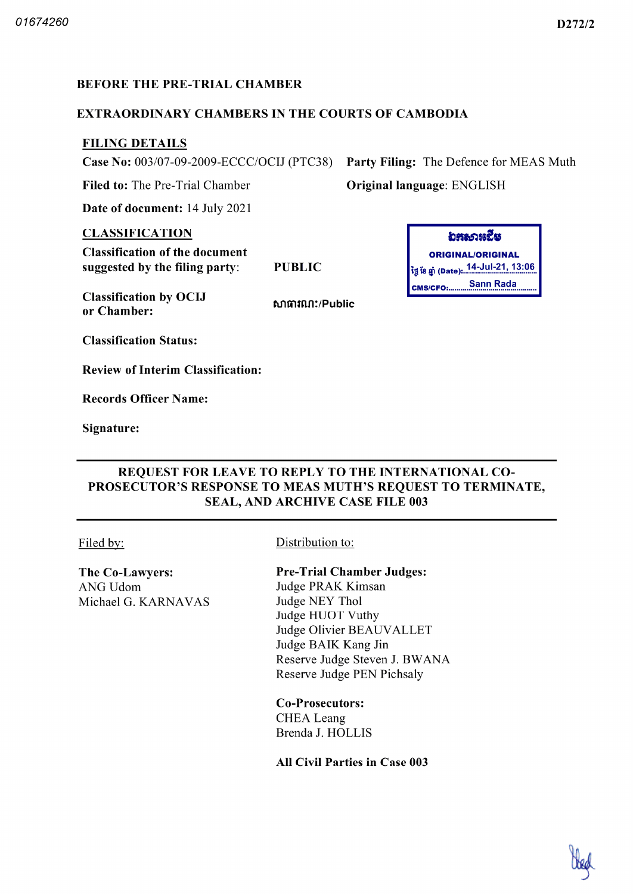## BEFORE THE PRE-TRIAL CHAMBER

### EXTRAORDINARY CHAMBERS IN THE COURTS OF CAMBODIA

# FILING DETAILS

Case No: 003/07-09-2009-ECCC/OCIJ (PTC38) Party Filing: The Defence for MEAS Muth

Filed to: The Pre-Trial Chamber **Original language: ENGLISH** 

Date of document: 14 July 2021

#### CLASSIFICATION

Classification of the document suggested by the filing party

Classification by OCIJ or Chamber

សាធារណ:/Public

อธุรการณี ORIGINAL/ORIGINAL 14 Ju 21 |3 06 PUBLIC tti Ï8 Date CMS/CFO: Sann Rada

Classification Status

Review of Interim Classification

Records Officer Name

Signature

# REQUEST FOR LEAVE TO REPLY TO THE INTERNATIONAL CO-PROSECUTOR'S RESPONSE TO MEAS MUTH'S REQUEST TO TERMINATE SEAL, AND ARCHIVE CASE FILE 003

The Co-Lawyers: ANG Udom Michael G. KARNAVAS

Filed by: Distribution to:

Pre-Trial Chamber Judges:

Judge PRAK Kimsan Judge NEY Thol Judge HUOT Vuthy Judge Olivier BEAUVALLET Judge AIK Kang Jin Reserve Judge Steven J. BWANA Reserve Judge PEN Pichsaly

Co-Prosecutors: CHEA Leang Brenda J. HOLLIS

All Civil Parties in Case 003

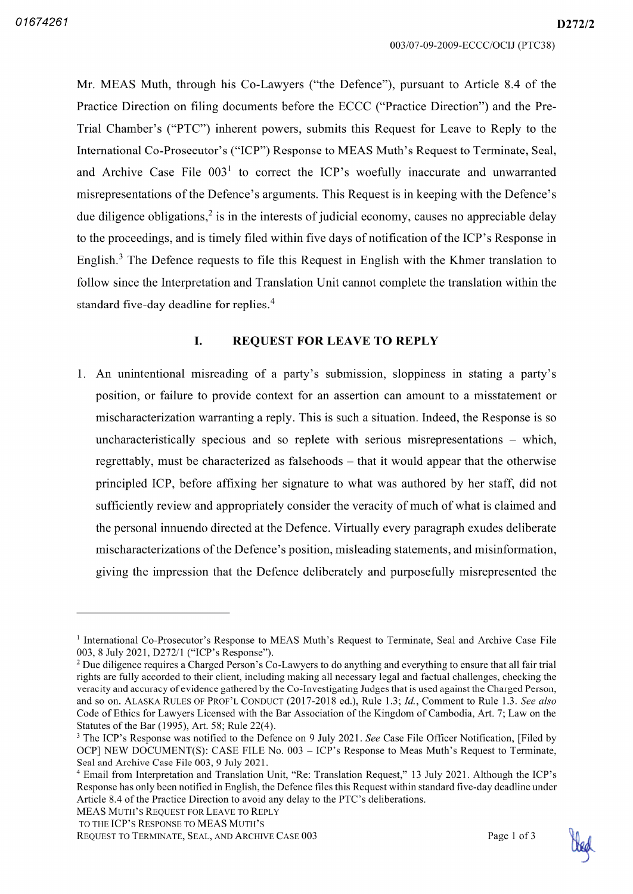D272/2

Mr. MEAS Muth, through his Co-Lawyers ("the Defence"), pursuant to Article 8.4 of the Practice Direction on filing documents before the ECCC ("Practice Direction") and the Pre-Trial Chamber's ("PTC") inherent powers, submits this Request for Leave to Reply to the International Co-Prosecutor's ("ICP") Response to MEAS Muth's Request to Terminate, Seal, and Archive Case File  $003<sup>1</sup>$  to correct the ICP's woefully inaccurate and unwarranted misrepresentations of the Defence's arguments This Request is in keeping with the Defence's due diligence obligations,  $\frac{2}{3}$  is in the interests of judicial economy, causes no appreciable delay to the proceedings and is timely filed within five days of notification of the ICP's Response in English.<sup>3</sup> The Defence requests to file this Request in English with the Khmer translation to follow since the Interpretation and Translation Unit cannot complete the translation within the standard five-day deadline for replies.<sup>4</sup>

#### I. REQUEST FOR LEAVE TO REPLY

1. An unintentional misreading of a party's submission, sloppiness in stating a party's position, or failure to provide context for an assertion can amount to a misstatement or mischaracterization warranting a reply. This is such a situation. Indeed, the Response is so uncharacteristically specious and so replete with serious misrepresentations  $-$  which regrettably, must be characterized as falsehoods – that it would appear that the otherwise principled ICP before affixing her signature to what was authored by her staff did not sufficiently review and appropriately consider the veracity of much of what is claimed and the personal innuendo directed at the Defence. Virtually every paragraph exudes deliberate mischaracterizations of the Defence's position, misleading statements, and misinformation, giving the impression that the Defence deliberately and purposefully misrepresented the

MEAS Muth's Request for Leave to Reply to the ICP's Response to MEAS Muth's



<sup>&</sup>lt;sup>1</sup> International Co-Prosecutor's Response to MEAS Muth's Request to Terminate, Seal and Archive Case File 003, 8 July 2021, D272/1 ("ICP's Response").

<sup>&</sup>lt;sup>2</sup> Due diligence requires a Charged Person's Co-Lawyers to do anything and everything to ensure that all fair trial rights are fully accorded to their client, including making all necessary legal and factual challenges, checking the veracity and accuracy of evidence gathered by the Co-Investigating Judges that is used against the Charged Person, and so on. ALASKA RULES OF PROF'L CONDUCT (2017-2018 ed.), Rule 1.3; Id., Comment to Rule 1.3. See also Code of Ethics for Lawyers Licensed with the Bar Association of the Kingdom of Cambodia, Art. 7; Law on the Statutes of the Bar (1995), Art. 58; Rule  $22(4)$ .

<sup>&</sup>lt;sup>3</sup> The ICP's Response was notified to the Defence on 9 July 2021. See Case File Officer Notification, [Filed by OCP] NEW DOCUMENT(S): CASE FILE No. 003 - ICP's Response to Meas Muth's Request to Terminate, Seal and Archive Case File 003, 9 July 2021.

<sup>&</sup>lt;sup>4</sup> Email from Interpretation and Translation Unit, "Re: Translation Request," 13 July 2021. Although the ICP's Response has only been notified in English, the Defence files this Request within standard five-day deadline under Article 8.4 of the Practice Direction to avoid any delay to the PTC's deliberations.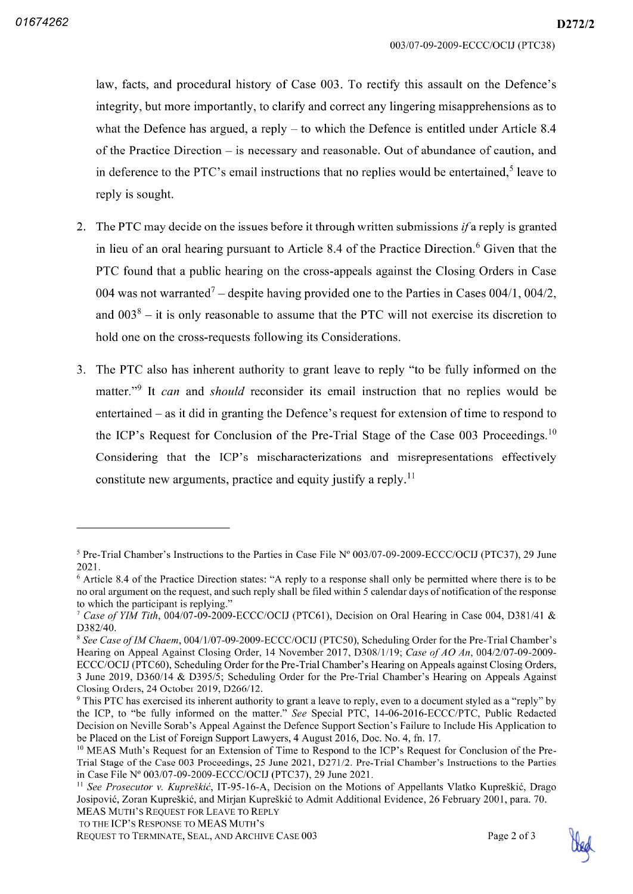D272/2

what the Defence has argued, a reply  $-$  to which the Defence is entitled under Article 8.4 of the Practice Direction  $-$  is necessary and reasonable. Out of abundance of caution, and in deference to the PTC's email instructions that no replies would be entertained.<sup>5</sup> leave to reply is sought

- 2. The PTC may decide on the issues before it through written submissions *if* a reply is granted in lieu of an oral hearing pursuant to Article 8.4 of the Practice Direction.<sup>6</sup> Given that the PTC found that a public hearing on the cross-appeals against the Closing Orders in Case 004 was not warranted<sup>7</sup> – despite having provided one to the Parties in Cases 004/1, 004/2, and  $003<sup>8</sup>$  – it is only reasonable to assume that the PTC will not exercise its discretion to hold one on the cross-requests following its Considerations.
- The PTC also has inherent authority to grant leave to reply "to be fully informed on the matter."<sup>9</sup> It *can* and *should* reconsider its email instruction that no replies would be entertained  $-$  as it did in granting the Defence's request for extension of time to respond to the ICP's Request for Conclusion of the Pre-Trial Stage of the Case 003 Proceedings.<sup>10</sup> Considering that the ICP's mischaracterizations and misrepresentations effectively constitute new arguments, practice and equity justify a reply.<sup>11</sup>



<sup>&</sup>lt;sup>5</sup> Pre-Trial Chamber's Instructions to the Parties in Case File  $N^{\circ}$  003/07-09-2009-ECCC/OCIJ (PTC37), 29 June 2021

 $6$  Article 8.4 of the Practice Direction states: "A reply to a response shall only be permitted where there is to be no oral argument on the request, and such reply shall be filed within 5 calendar days of notification of the response to which the participant is replying."

Case of YIM Tith, 004/07-09-2009-ECCC/OCIJ (PTC61), Decision on Oral Hearing in Case 004, D381/41 &  $D382/40.$ 

 $8$  See Case of IM Chaem, 004/1/07-09-2009-ECCC/OCIJ (PTC50), Scheduling Order for the Pre-Trial Chamber's Hearing on Appeal Against Closing Order, 14 November 2017, D308/1/19; Case of AO An, 004/2/07-09-2009-ECCC (OCIJ (PTC60), Scheduling Order for the Pre-Trial Chamber's Hearing on Appeals against Closing Orders, 3 June 2019, D360/14 & D395/5; Scheduling Order for the Pre-Trial Chamber's Hearing on Appeals Against Closing Orders, 24 October 2019, D266/12.

<sup>&</sup>lt;sup>9</sup> This PTC has exercised its inherent authority to grant a leave to reply, even to a document styled as a "reply" by the ICP, to "be fully informed on the matter." See Special PTC, 14-06-2016-ECCC/PTC, Public Redacted Decision on Neville Sorab's Appeal Against the Defence Support Section's Failure to Include His Application to be Placed on the List of Foreign Support Lawyers, 4 August 2016, Doc. No. 4, fn. 17.

<sup>&</sup>lt;sup>10</sup> MEAS Muth's Request for an Extension of Time to Respond to the ICP's Request for Conclusion of the Pre-Trial Stage of the Case 003 Proceedings, 25 June 2021, D271/2. Pre-Trial Chamber's Instructions to the Parties in Case File  $N^{\circ}$  003/07-09-2009-ECCC/OCIJ (PTC37), 29 June 2021.

<sup>&</sup>lt;sup>11</sup> See Prosecutor v. Kupreškić, IT-95-16-A, Decision on the Motions of Appellants Vlatko Kupreškić, Drago Josipović, Zoran Kupreškić, and Mirian Kupreškić to Admit Additional Evidence, 26 February 2001, para, 70. MEAS Muth's Request for Leave to Reply

to the ICP's Response to MEAS Muth's

REQUEST TO TERMINATE, SEAL, AND ARCHIVE CASE 003 Page 2 of 3